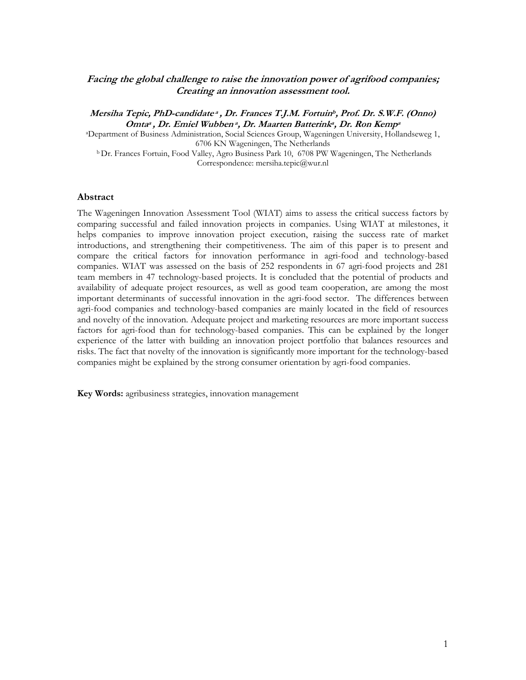### Facing the global challenge to raise the innovation power of agrifood companies; Creating an innovation assessment tool.

Mersiha Tepic, PhD-candidate<sup>a</sup> , Dr. Frances T.J.M. Fortuin<sup>b</sup>, Prof. Dr. S.W.F. (Onno) Omtaª , Dr. Emiel Wubbenª, Dr. Maarten Batterinkª, Dr. Ron Kempª

<sup>a</sup>Department of Business Administration, Social Sciences Group, Wageningen University, Hollandseweg 1, 6706 KN Wageningen, The Netherlands

<sup>b</sup> Dr. Frances Fortuin, Food Valley, Agro Business Park 10, 6708 PW Wageningen, The Netherlands Correspondence: mersiha.tepic@wur.nl

#### Abstract

The Wageningen Innovation Assessment Tool (WIAT) aims to assess the critical success factors by comparing successful and failed innovation projects in companies. Using WIAT at milestones, it helps companies to improve innovation project execution, raising the success rate of market introductions, and strengthening their competitiveness. The aim of this paper is to present and compare the critical factors for innovation performance in agri-food and technology-based companies. WIAT was assessed on the basis of 252 respondents in 67 agri-food projects and 281 team members in 47 technology-based projects. It is concluded that the potential of products and availability of adequate project resources, as well as good team cooperation, are among the most important determinants of successful innovation in the agri-food sector. The differences between agri-food companies and technology-based companies are mainly located in the field of resources and novelty of the innovation. Adequate project and marketing resources are more important success factors for agri-food than for technology-based companies. This can be explained by the longer experience of the latter with building an innovation project portfolio that balances resources and risks. The fact that novelty of the innovation is significantly more important for the technology-based companies might be explained by the strong consumer orientation by agri-food companies.

Key Words: agribusiness strategies, innovation management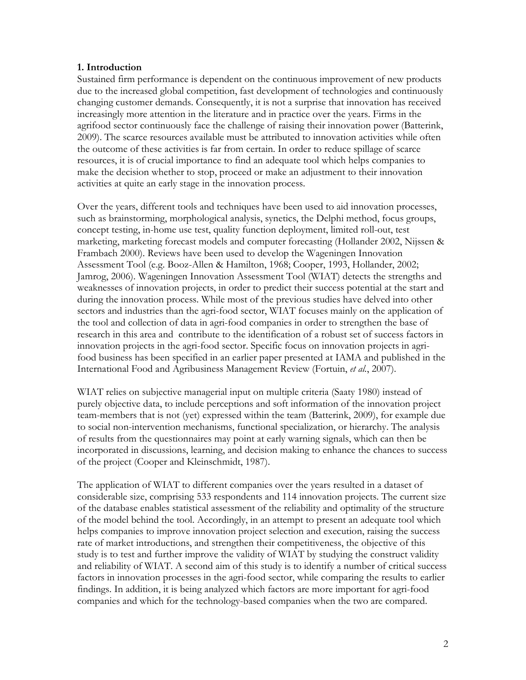### 1. Introduction

Sustained firm performance is dependent on the continuous improvement of new products due to the increased global competition, fast development of technologies and continuously changing customer demands. Consequently, it is not a surprise that innovation has received increasingly more attention in the literature and in practice over the years. Firms in the agrifood sector continuously face the challenge of raising their innovation power (Batterink, 2009). The scarce resources available must be attributed to innovation activities while often the outcome of these activities is far from certain. In order to reduce spillage of scarce resources, it is of crucial importance to find an adequate tool which helps companies to make the decision whether to stop, proceed or make an adjustment to their innovation activities at quite an early stage in the innovation process.

Over the years, different tools and techniques have been used to aid innovation processes, such as brainstorming, morphological analysis, synetics, the Delphi method, focus groups, concept testing, in-home use test, quality function deployment, limited roll-out, test marketing, marketing forecast models and computer forecasting (Hollander 2002, Nijssen & Frambach 2000). Reviews have been used to develop the Wageningen Innovation Assessment Tool (e.g. Booz-Allen & Hamilton, 1968; Cooper, 1993, Hollander, 2002; Jamrog, 2006). Wageningen Innovation Assessment Tool (WIAT) detects the strengths and weaknesses of innovation projects, in order to predict their success potential at the start and during the innovation process. While most of the previous studies have delved into other sectors and industries than the agri-food sector, WIAT focuses mainly on the application of the tool and collection of data in agri-food companies in order to strengthen the base of research in this area and contribute to the identification of a robust set of success factors in innovation projects in the agri-food sector. Specific focus on innovation projects in agrifood business has been specified in an earlier paper presented at IAMA and published in the International Food and Agribusiness Management Review (Fortuin, et al., 2007).

WIAT relies on subjective managerial input on multiple criteria (Saaty 1980) instead of purely objective data, to include perceptions and soft information of the innovation project team-members that is not (yet) expressed within the team (Batterink, 2009), for example due to social non-intervention mechanisms, functional specialization, or hierarchy. The analysis of results from the questionnaires may point at early warning signals, which can then be incorporated in discussions, learning, and decision making to enhance the chances to success of the project (Cooper and Kleinschmidt, 1987).

The application of WIAT to different companies over the years resulted in a dataset of considerable size, comprising 533 respondents and 114 innovation projects. The current size of the database enables statistical assessment of the reliability and optimality of the structure of the model behind the tool. Accordingly, in an attempt to present an adequate tool which helps companies to improve innovation project selection and execution, raising the success rate of market introductions, and strengthen their competitiveness, the objective of this study is to test and further improve the validity of WIAT by studying the construct validity and reliability of WIAT. A second aim of this study is to identify a number of critical success factors in innovation processes in the agri-food sector, while comparing the results to earlier findings. In addition, it is being analyzed which factors are more important for agri-food companies and which for the technology-based companies when the two are compared.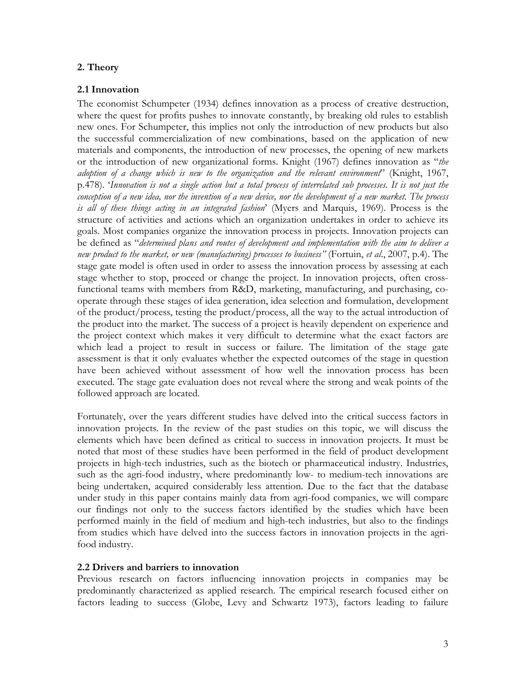# 2. Theory

# 2.1 Innovation

The economist Schumpeter (1934) defines innovation as a process of creative destruction, where the quest for profits pushes to innovate constantly, by breaking old rules to establish new ones. For Schumpeter, this implies not only the introduction of new products but also the successful commercialization of new combinations, based on the application of new materials and components, the introduction of new processes, the opening of new markets or the introduction of new organizational forms. Knight (1967) defines innovation as "the adoption of a change which is new to the organization and the relevant environment" (Knight, 1967, p.478). 'Innovation is not a single action but a total process of interrelated sub processes. It is not just the conception of a new idea, nor the invention of a new device, nor the development of a new market. The process is all of these things acting in an integrated fashion' (Myers and Marquis, 1969). Process is the structure of activities and actions which an organization undertakes in order to achieve its goals. Most companies organize the innovation process in projects. Innovation projects can be defined as "determined plans and routes of development and implementation with the aim to deliver a new product to the market, or new (manufacturing) processes to business" (Fortuin, et al., 2007, p.4). The stage gate model is often used in order to assess the innovation process by assessing at each stage whether to stop, proceed or change the project. In innovation projects, often crossfunctional teams with members from R&D, marketing, manufacturing, and purchasing, cooperate through these stages of idea generation, idea selection and formulation, development of the product/process, testing the product/process, all the way to the actual introduction of the product into the market. The success of a project is heavily dependent on experience and the project context which makes it very difficult to determine what the exact factors are which lead a project to result in success or failure. The limitation of the stage gate assessment is that it only evaluates whether the expected outcomes of the stage in question have been achieved without assessment of how well the innovation process has been executed. The stage gate evaluation does not reveal where the strong and weak points of the followed approach are located.

Fortunately, over the years different studies have delved into the critical success factors in innovation projects. In the review of the past studies on this topic, we will discuss the elements which have been defined as critical to success in innovation projects. It must be noted that most of these studies have been performed in the field of product development projects in high-tech industries, such as the biotech or pharmaceutical industry. Industries, such as the agri-food industry, where predominantly low- to medium-tech innovations are being undertaken, acquired considerably less attention. Due to the fact that the database under study in this paper contains mainly data from agri-food companies, we will compare our findings not only to the success factors identified by the studies which have been performed mainly in the field of medium and high-tech industries, but also to the findings from studies which have delved into the success factors in innovation projects in the agrifood industry.

# 2.2 Drivers and barriers to innovation

Previous research on factors influencing innovation projects in companies may be predominantly characterized as applied research. The empirical research focused either on factors leading to success (Globe, Levy and Schwartz 1973), factors leading to failure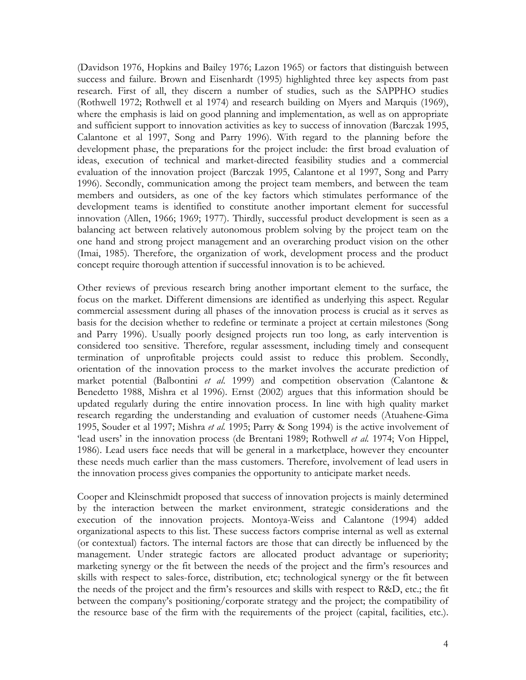(Davidson 1976, Hopkins and Bailey 1976; Lazon 1965) or factors that distinguish between success and failure. Brown and Eisenhardt (1995) highlighted three key aspects from past research. First of all, they discern a number of studies, such as the SAPPHO studies (Rothwell 1972; Rothwell et al 1974) and research building on Myers and Marquis (1969), where the emphasis is laid on good planning and implementation, as well as on appropriate and sufficient support to innovation activities as key to success of innovation (Barczak 1995, Calantone et al 1997, Song and Parry 1996). With regard to the planning before the development phase, the preparations for the project include: the first broad evaluation of ideas, execution of technical and market-directed feasibility studies and a commercial evaluation of the innovation project (Barczak 1995, Calantone et al 1997, Song and Parry 1996). Secondly, communication among the project team members, and between the team members and outsiders, as one of the key factors which stimulates performance of the development teams is identified to constitute another important element for successful innovation (Allen, 1966; 1969; 1977). Thirdly, successful product development is seen as a balancing act between relatively autonomous problem solving by the project team on the one hand and strong project management and an overarching product vision on the other (Imai, 1985). Therefore, the organization of work, development process and the product concept require thorough attention if successful innovation is to be achieved.

Other reviews of previous research bring another important element to the surface, the focus on the market. Different dimensions are identified as underlying this aspect. Regular commercial assessment during all phases of the innovation process is crucial as it serves as basis for the decision whether to redefine or terminate a project at certain milestones (Song and Parry 1996). Usually poorly designed projects run too long, as early intervention is considered too sensitive. Therefore, regular assessment, including timely and consequent termination of unprofitable projects could assist to reduce this problem. Secondly, orientation of the innovation process to the market involves the accurate prediction of market potential (Balbontini et al. 1999) and competition observation (Calantone & Benedetto 1988, Mishra et al 1996). Ernst (2002) argues that this information should be updated regularly during the entire innovation process. In line with high quality market research regarding the understanding and evaluation of customer needs (Atuahene-Gima 1995, Souder et al 1997; Mishra et al. 1995; Parry & Song 1994) is the active involvement of 'lead users' in the innovation process (de Brentani 1989; Rothwell et al. 1974; Von Hippel, 1986). Lead users face needs that will be general in a marketplace, however they encounter these needs much earlier than the mass customers. Therefore, involvement of lead users in the innovation process gives companies the opportunity to anticipate market needs.

Cooper and Kleinschmidt proposed that success of innovation projects is mainly determined by the interaction between the market environment, strategic considerations and the execution of the innovation projects. Montoya-Weiss and Calantone (1994) added organizational aspects to this list. These success factors comprise internal as well as external (or contextual) factors. The internal factors are those that can directly be influenced by the management. Under strategic factors are allocated product advantage or superiority; marketing synergy or the fit between the needs of the project and the firm's resources and skills with respect to sales-force, distribution, etc; technological synergy or the fit between the needs of the project and the firm's resources and skills with respect to R&D, etc.; the fit between the company's positioning/corporate strategy and the project; the compatibility of the resource base of the firm with the requirements of the project (capital, facilities, etc.).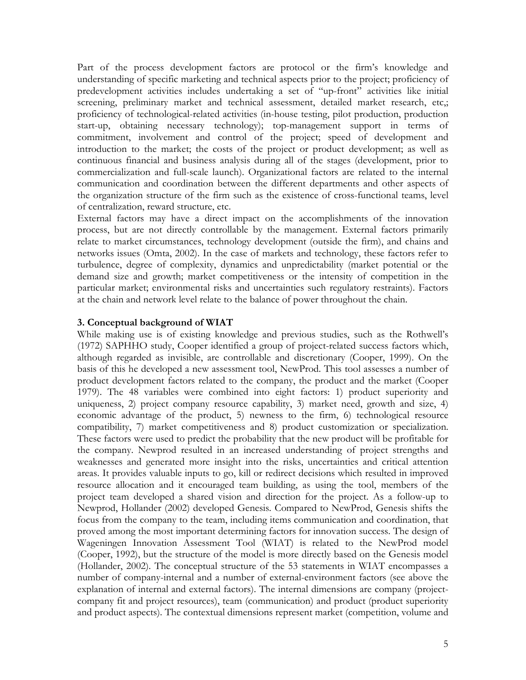Part of the process development factors are protocol or the firm's knowledge and understanding of specific marketing and technical aspects prior to the project; proficiency of predevelopment activities includes undertaking a set of "up-front" activities like initial screening, preliminary market and technical assessment, detailed market research, etc,; proficiency of technological-related activities (in-house testing, pilot production, production start-up, obtaining necessary technology); top-management support in terms of commitment, involvement and control of the project; speed of development and introduction to the market; the costs of the project or product development; as well as continuous financial and business analysis during all of the stages (development, prior to commercialization and full-scale launch). Organizational factors are related to the internal communication and coordination between the different departments and other aspects of the organization structure of the firm such as the existence of cross-functional teams, level of centralization, reward structure, etc.

External factors may have a direct impact on the accomplishments of the innovation process, but are not directly controllable by the management. External factors primarily relate to market circumstances, technology development (outside the firm), and chains and networks issues (Omta, 2002). In the case of markets and technology, these factors refer to turbulence, degree of complexity, dynamics and unpredictability (market potential or the demand size and growth; market competitiveness or the intensity of competition in the particular market; environmental risks and uncertainties such regulatory restraints). Factors at the chain and network level relate to the balance of power throughout the chain.

### 3. Conceptual background of WIAT

While making use is of existing knowledge and previous studies, such as the Rothwell's (1972) SAPHHO study, Cooper identified a group of project-related success factors which, although regarded as invisible, are controllable and discretionary (Cooper, 1999). On the basis of this he developed a new assessment tool, NewProd. This tool assesses a number of product development factors related to the company, the product and the market (Cooper 1979). The 48 variables were combined into eight factors: 1) product superiority and uniqueness, 2) project company resource capability, 3) market need, growth and size, 4) economic advantage of the product, 5) newness to the firm, 6) technological resource compatibility, 7) market competitiveness and 8) product customization or specialization. These factors were used to predict the probability that the new product will be profitable for the company. Newprod resulted in an increased understanding of project strengths and weaknesses and generated more insight into the risks, uncertainties and critical attention areas. It provides valuable inputs to go, kill or redirect decisions which resulted in improved resource allocation and it encouraged team building, as using the tool, members of the project team developed a shared vision and direction for the project. As a follow-up to Newprod, Hollander (2002) developed Genesis. Compared to NewProd, Genesis shifts the focus from the company to the team, including items communication and coordination, that proved among the most important determining factors for innovation success. The design of Wageningen Innovation Assessment Tool (WIAT) is related to the NewProd model (Cooper, 1992), but the structure of the model is more directly based on the Genesis model (Hollander, 2002). The conceptual structure of the 53 statements in WIAT encompasses a number of company-internal and a number of external-environment factors (see above the explanation of internal and external factors). The internal dimensions are company (projectcompany fit and project resources), team (communication) and product (product superiority and product aspects). The contextual dimensions represent market (competition, volume and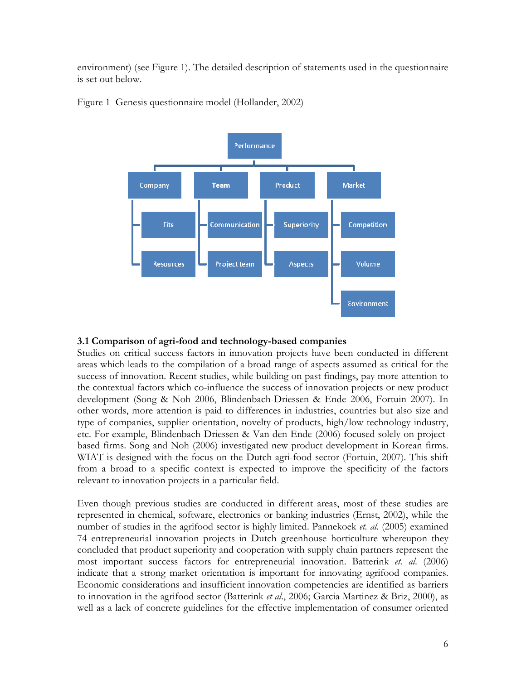environment) (see Figure 1). The detailed description of statements used in the questionnaire is set out below.



Figure 1 Genesis questionnaire model (Hollander, 2002)

### 3.1 Comparison of agri-food and technology-based companies

Studies on critical success factors in innovation projects have been conducted in different areas which leads to the compilation of a broad range of aspects assumed as critical for the success of innovation. Recent studies, while building on past findings, pay more attention to the contextual factors which co-influence the success of innovation projects or new product development (Song & Noh 2006, Blindenbach-Driessen & Ende 2006, Fortuin 2007). In other words, more attention is paid to differences in industries, countries but also size and type of companies, supplier orientation, novelty of products, high/low technology industry, etc. For example, Blindenbach-Driessen & Van den Ende (2006) focused solely on projectbased firms. Song and Noh (2006) investigated new product development in Korean firms. WIAT is designed with the focus on the Dutch agri-food sector (Fortuin, 2007). This shift from a broad to a specific context is expected to improve the specificity of the factors relevant to innovation projects in a particular field.

Even though previous studies are conducted in different areas, most of these studies are represented in chemical, software, electronics or banking industries (Ernst, 2002), while the number of studies in the agrifood sector is highly limited. Pannekoek et. al. (2005) examined 74 entrepreneurial innovation projects in Dutch greenhouse horticulture whereupon they concluded that product superiority and cooperation with supply chain partners represent the most important success factors for entrepreneurial innovation. Batterink et. al. (2006) indicate that a strong market orientation is important for innovating agrifood companies. Economic considerations and insufficient innovation competencies are identified as barriers to innovation in the agrifood sector (Batterink *et al.*, 2006; Garcia Martinez & Briz, 2000), as well as a lack of concrete guidelines for the effective implementation of consumer oriented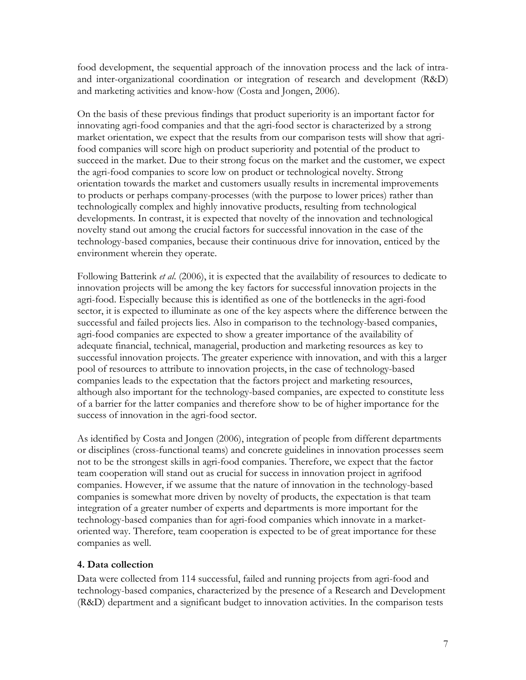food development, the sequential approach of the innovation process and the lack of intraand inter-organizational coordination or integration of research and development (R&D) and marketing activities and know-how (Costa and Jongen, 2006).

On the basis of these previous findings that product superiority is an important factor for innovating agri-food companies and that the agri-food sector is characterized by a strong market orientation, we expect that the results from our comparison tests will show that agrifood companies will score high on product superiority and potential of the product to succeed in the market. Due to their strong focus on the market and the customer, we expect the agri-food companies to score low on product or technological novelty. Strong orientation towards the market and customers usually results in incremental improvements to products or perhaps company-processes (with the purpose to lower prices) rather than technologically complex and highly innovative products, resulting from technological developments. In contrast, it is expected that novelty of the innovation and technological novelty stand out among the crucial factors for successful innovation in the case of the technology-based companies, because their continuous drive for innovation, enticed by the environment wherein they operate.

Following Batterink *et al.* (2006), it is expected that the availability of resources to dedicate to innovation projects will be among the key factors for successful innovation projects in the agri-food. Especially because this is identified as one of the bottlenecks in the agri-food sector, it is expected to illuminate as one of the key aspects where the difference between the successful and failed projects lies. Also in comparison to the technology-based companies, agri-food companies are expected to show a greater importance of the availability of adequate financial, technical, managerial, production and marketing resources as key to successful innovation projects. The greater experience with innovation, and with this a larger pool of resources to attribute to innovation projects, in the case of technology-based companies leads to the expectation that the factors project and marketing resources, although also important for the technology-based companies, are expected to constitute less of a barrier for the latter companies and therefore show to be of higher importance for the success of innovation in the agri-food sector.

As identified by Costa and Jongen (2006), integration of people from different departments or disciplines (cross-functional teams) and concrete guidelines in innovation processes seem not to be the strongest skills in agri-food companies. Therefore, we expect that the factor team cooperation will stand out as crucial for success in innovation project in agrifood companies. However, if we assume that the nature of innovation in the technology-based companies is somewhat more driven by novelty of products, the expectation is that team integration of a greater number of experts and departments is more important for the technology-based companies than for agri-food companies which innovate in a marketoriented way. Therefore, team cooperation is expected to be of great importance for these companies as well.

# 4. Data collection

Data were collected from 114 successful, failed and running projects from agri-food and technology-based companies, characterized by the presence of a Research and Development (R&D) department and a significant budget to innovation activities. In the comparison tests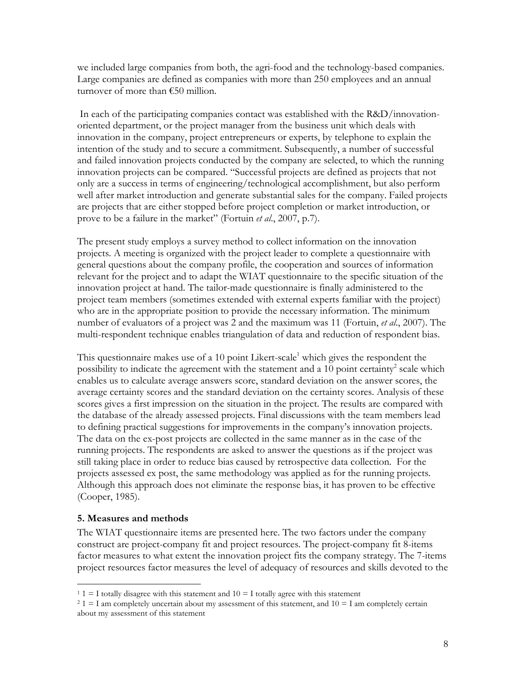we included large companies from both, the agri-food and the technology-based companies. Large companies are defined as companies with more than 250 employees and an annual turnover of more than €50 million.

 In each of the participating companies contact was established with the R&D/innovationoriented department, or the project manager from the business unit which deals with innovation in the company, project entrepreneurs or experts, by telephone to explain the intention of the study and to secure a commitment. Subsequently, a number of successful and failed innovation projects conducted by the company are selected, to which the running innovation projects can be compared. "Successful projects are defined as projects that not only are a success in terms of engineering/technological accomplishment, but also perform well after market introduction and generate substantial sales for the company. Failed projects are projects that are either stopped before project completion or market introduction, or prove to be a failure in the market" (Fortuin et al., 2007, p.7).

The present study employs a survey method to collect information on the innovation projects. A meeting is organized with the project leader to complete a questionnaire with general questions about the company profile, the cooperation and sources of information relevant for the project and to adapt the WIAT questionnaire to the specific situation of the innovation project at hand. The tailor-made questionnaire is finally administered to the project team members (sometimes extended with external experts familiar with the project) who are in the appropriate position to provide the necessary information. The minimum number of evaluators of a project was 2 and the maximum was 11 (Fortuin, et al., 2007). The multi-respondent technique enables triangulation of data and reduction of respondent bias.

This questionnaire makes use of a 10 point Likert-scale<sup>1</sup> which gives the respondent the possibility to indicate the agreement with the statement and a 10 point certainty<sup>2</sup> scale which enables us to calculate average answers score, standard deviation on the answer scores, the average certainty scores and the standard deviation on the certainty scores. Analysis of these scores gives a first impression on the situation in the project. The results are compared with the database of the already assessed projects. Final discussions with the team members lead to defining practical suggestions for improvements in the company's innovation projects. The data on the ex-post projects are collected in the same manner as in the case of the running projects. The respondents are asked to answer the questions as if the project was still taking place in order to reduce bias caused by retrospective data collection. For the projects assessed ex post, the same methodology was applied as for the running projects. Although this approach does not eliminate the response bias, it has proven to be effective (Cooper, 1985).

# 5. Measures and methods

The WIAT questionnaire items are presented here. The two factors under the company construct are project-company fit and project resources. The project-company fit 8-items factor measures to what extent the innovation project fits the company strategy. The 7-items project resources factor measures the level of adequacy of resources and skills devoted to the

<sup>-</sup> $1 1 = I$  totally disagree with this statement and  $10 = I$  totally agree with this statement

 $2$  1 = I am completely uncertain about my assessment of this statement, and 10 = I am completely certain about my assessment of this statement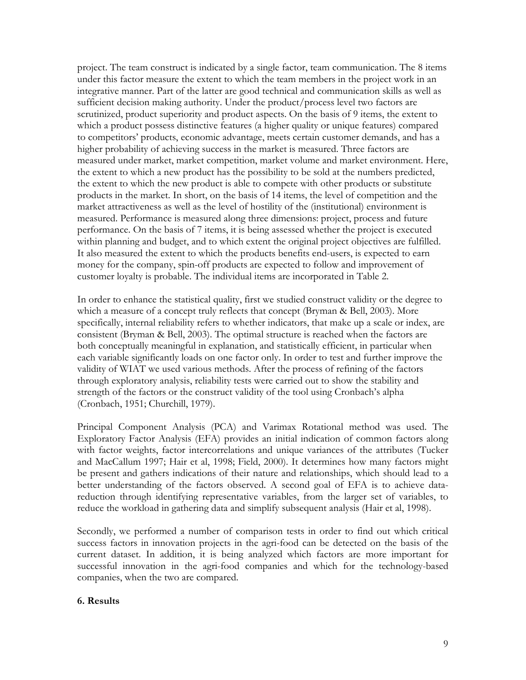project. The team construct is indicated by a single factor, team communication. The 8 items under this factor measure the extent to which the team members in the project work in an integrative manner. Part of the latter are good technical and communication skills as well as sufficient decision making authority. Under the product/process level two factors are scrutinized, product superiority and product aspects. On the basis of 9 items, the extent to which a product possess distinctive features (a higher quality or unique features) compared to competitors' products, economic advantage, meets certain customer demands, and has a higher probability of achieving success in the market is measured. Three factors are measured under market, market competition, market volume and market environment. Here, the extent to which a new product has the possibility to be sold at the numbers predicted, the extent to which the new product is able to compete with other products or substitute products in the market. In short, on the basis of 14 items, the level of competition and the market attractiveness as well as the level of hostility of the (institutional) environment is measured. Performance is measured along three dimensions: project, process and future performance. On the basis of 7 items, it is being assessed whether the project is executed within planning and budget, and to which extent the original project objectives are fulfilled. It also measured the extent to which the products benefits end-users, is expected to earn money for the company, spin-off products are expected to follow and improvement of customer loyalty is probable. The individual items are incorporated in Table 2.

In order to enhance the statistical quality, first we studied construct validity or the degree to which a measure of a concept truly reflects that concept (Bryman & Bell, 2003). More specifically, internal reliability refers to whether indicators, that make up a scale or index, are consistent (Bryman & Bell, 2003). The optimal structure is reached when the factors are both conceptually meaningful in explanation, and statistically efficient, in particular when each variable significantly loads on one factor only. In order to test and further improve the validity of WIAT we used various methods. After the process of refining of the factors through exploratory analysis, reliability tests were carried out to show the stability and strength of the factors or the construct validity of the tool using Cronbach's alpha (Cronbach, 1951; Churchill, 1979).

Principal Component Analysis (PCA) and Varimax Rotational method was used. The Exploratory Factor Analysis (EFA) provides an initial indication of common factors along with factor weights, factor intercorrelations and unique variances of the attributes (Tucker and MacCallum 1997; Hair et al, 1998; Field, 2000). It determines how many factors might be present and gathers indications of their nature and relationships, which should lead to a better understanding of the factors observed. A second goal of EFA is to achieve datareduction through identifying representative variables, from the larger set of variables, to reduce the workload in gathering data and simplify subsequent analysis (Hair et al, 1998).

Secondly, we performed a number of comparison tests in order to find out which critical success factors in innovation projects in the agri-food can be detected on the basis of the current dataset. In addition, it is being analyzed which factors are more important for successful innovation in the agri-food companies and which for the technology-based companies, when the two are compared.

### 6. Results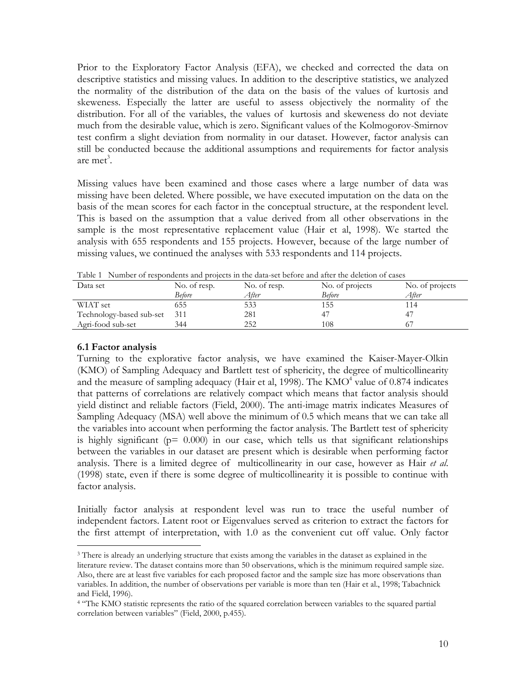Prior to the Exploratory Factor Analysis (EFA), we checked and corrected the data on descriptive statistics and missing values. In addition to the descriptive statistics, we analyzed the normality of the distribution of the data on the basis of the values of kurtosis and skeweness. Especially the latter are useful to assess objectively the normality of the distribution. For all of the variables, the values of kurtosis and skeweness do not deviate much from the desirable value, which is zero. Significant values of the Kolmogorov-Smirnov test confirm a slight deviation from normality in our dataset. However, factor analysis can still be conducted because the additional assumptions and requirements for factor analysis are met<sup>3</sup>.

Missing values have been examined and those cases where a large number of data was missing have been deleted. Where possible, we have executed imputation on the data on the basis of the mean scores for each factor in the conceptual structure, at the respondent level. This is based on the assumption that a value derived from all other observations in the sample is the most representative replacement value (Hair et al, 1998). We started the analysis with 655 respondents and 155 projects. However, because of the large number of missing values, we continued the analyses with 533 respondents and 114 projects.

| Data set                 | No. of resp.<br>Before | No. of resp.<br>After | No. of projects<br>Before | No. of projects<br>After |
|--------------------------|------------------------|-----------------------|---------------------------|--------------------------|
| WIAT set                 | 555                    | 533                   | 155                       | l 14                     |
| Technology-based sub-set | 311                    | 281                   |                           |                          |
| Agri-food sub-set        | 344                    |                       | 108                       |                          |

Table 1 Number of respondents and projects in the data-set before and after the deletion of cases

### 6.1 Factor analysis

Turning to the explorative factor analysis, we have examined the Kaiser-Mayer-Olkin (KMO) of Sampling Adequacy and Bartlett test of sphericity, the degree of multicollinearity and the measure of sampling adequacy (Hair et al, 1998). The  $KMO<sup>4</sup>$  value of 0.874 indicates that patterns of correlations are relatively compact which means that factor analysis should yield distinct and reliable factors (Field, 2000). The anti-image matrix indicates Measures of Sampling Adequacy (MSA) well above the minimum of 0.5 which means that we can take all the variables into account when performing the factor analysis. The Bartlett test of sphericity is highly significant ( $p= 0.000$ ) in our case, which tells us that significant relationships between the variables in our dataset are present which is desirable when performing factor analysis. There is a limited degree of multicollinearity in our case, however as Hair et al. (1998) state, even if there is some degree of multicollinearity it is possible to continue with factor analysis.

Initially factor analysis at respondent level was run to trace the useful number of independent factors. Latent root or Eigenvalues served as criterion to extract the factors for the first attempt of interpretation, with 1.0 as the convenient cut off value. Only factor

<sup>-</sup><sup>3</sup> There is already an underlying structure that exists among the variables in the dataset as explained in the literature review. The dataset contains more than 50 observations, which is the minimum required sample size. Also, there are at least five variables for each proposed factor and the sample size has more observations than variables. In addition, the number of observations per variable is more than ten (Hair et al., 1998; Tabachnick and Field, 1996).

<sup>4</sup> "The KMO statistic represents the ratio of the squared correlation between variables to the squared partial correlation between variables" (Field, 2000, p.455).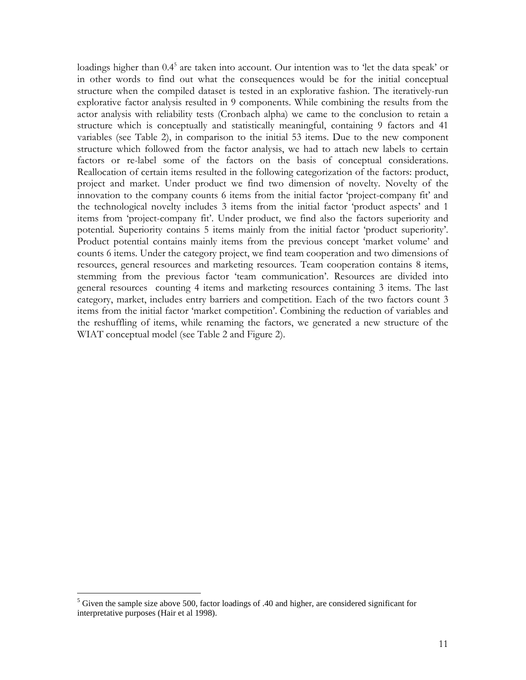loadings higher than 0.4<sup>5</sup> are taken into account. Our intention was to 'let the data speak' or in other words to find out what the consequences would be for the initial conceptual structure when the compiled dataset is tested in an explorative fashion. The iteratively-run explorative factor analysis resulted in 9 components. While combining the results from the actor analysis with reliability tests (Cronbach alpha) we came to the conclusion to retain a structure which is conceptually and statistically meaningful, containing 9 factors and 41 variables (see Table 2), in comparison to the initial 53 items. Due to the new component structure which followed from the factor analysis, we had to attach new labels to certain factors or re-label some of the factors on the basis of conceptual considerations. Reallocation of certain items resulted in the following categorization of the factors: product, project and market. Under product we find two dimension of novelty. Novelty of the innovation to the company counts 6 items from the initial factor 'project-company fit' and the technological novelty includes 3 items from the initial factor 'product aspects' and 1 items from 'project-company fit'. Under product, we find also the factors superiority and potential. Superiority contains 5 items mainly from the initial factor 'product superiority'. Product potential contains mainly items from the previous concept 'market volume' and counts 6 items. Under the category project, we find team cooperation and two dimensions of resources, general resources and marketing resources. Team cooperation contains 8 items, stemming from the previous factor 'team communication'. Resources are divided into general resources counting 4 items and marketing resources containing 3 items. The last category, market, includes entry barriers and competition. Each of the two factors count 3 items from the initial factor 'market competition'. Combining the reduction of variables and the reshuffling of items, while renaming the factors, we generated a new structure of the WIAT conceptual model (see Table 2 and Figure 2).

<sup>&</sup>lt;sup>5</sup> Given the sample size above 500, factor loadings of .40 and higher, are considered significant for interpretative purposes (Hair et al 1998).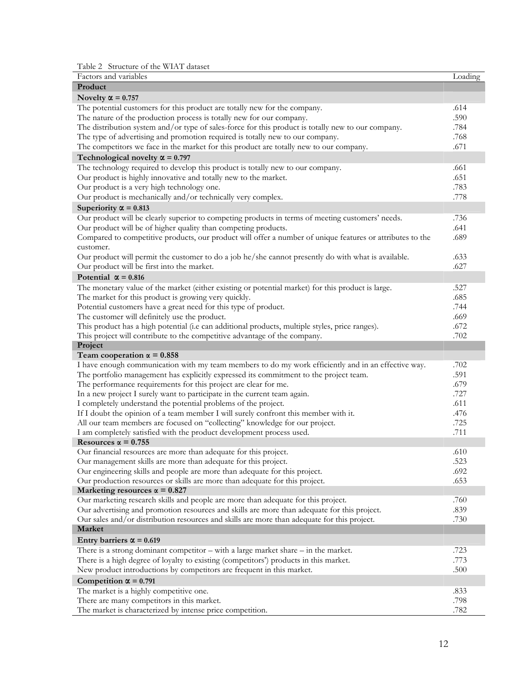Table 2 Structure of the WIAT dataset

| Factors and variables                                                                                     | Loading      |
|-----------------------------------------------------------------------------------------------------------|--------------|
| Product                                                                                                   |              |
| Novelty $\alpha$ = 0.757                                                                                  |              |
| The potential customers for this product are totally new for the company.                                 | .614         |
| The nature of the production process is totally new for our company.                                      | .590         |
| The distribution system and/or type of sales-force for this product is totally new to our company.        | .784         |
| The type of advertising and promotion required is totally new to our company.                             | .768         |
| The competitors we face in the market for this product are totally new to our company.                    | .671         |
| Technological novelty $\alpha$ = 0.797                                                                    |              |
| The technology required to develop this product is totally new to our company.                            | .661         |
| Our product is highly innovative and totally new to the market.                                           | .651         |
| Our product is a very high technology one.                                                                | .783         |
| Our product is mechanically and/or technically very complex.                                              | .778         |
| Superiority $\alpha$ = 0.813                                                                              |              |
| Our product will be clearly superior to competing products in terms of meeting customers' needs.          | .736         |
| Our product will be of higher quality than competing products.                                            | .641         |
| Compared to competitive products, our product will offer a number of unique features or attributes to the | .689         |
| customer.                                                                                                 |              |
| Our product will permit the customer to do a job he/she cannot presently do with what is available.       | .633         |
| Our product will be first into the market.                                                                | .627         |
| Potential $\alpha = 0.816$                                                                                |              |
|                                                                                                           |              |
| The monetary value of the market (either existing or potential market) for this product is large.         | .527         |
| The market for this product is growing very quickly.                                                      | .685         |
| Potential customers have a great need for this type of product.                                           | .744         |
| The customer will definitely use the product.                                                             | .669<br>.672 |
| This product has a high potential (i.e can additional products, multiple styles, price ranges).           | .702         |
| This project will contribute to the competitive advantage of the company.<br>Project                      |              |
| Team cooperation $\alpha = 0.858$                                                                         |              |
| I have enough communication with my team members to do my work efficiently and in an effective way.       | .702         |
| The portfolio management has explicitly expressed its commitment to the project team.                     | .591         |
| The performance requirements for this project are clear for me.                                           | .679         |
| In a new project I surely want to participate in the current team again.                                  | .727         |
| I completely understand the potential problems of the project.                                            | .611         |
| If I doubt the opinion of a team member I will surely confront this member with it.                       | .476         |
| All our team members are focused on "collecting" knowledge for our project.                               | .725         |
| I am completely satisfied with the product development process used.                                      | .711         |
| Resources $\alpha = 0.755$                                                                                |              |
| Our financial resources are more than adequate for this project.                                          | .610         |
| Our management skills are more than adequate for this project.                                            | .523         |
| Our engineering skills and people are more than adequate for this project.                                | .692         |
| Our production resources or skills are more than adequate for this project.                               | .653         |
| Marketing resources $\alpha = 0.827$                                                                      |              |
| Our marketing research skills and people are more than adequate for this project.                         | .760         |
| Our advertising and promotion resources and skills are more than adequate for this project.               | .839         |
| Our sales and/or distribution resources and skills are more than adequate for this project.               | .730         |
| <b>Market</b>                                                                                             |              |
| Entry barriers $\alpha$ = 0.619                                                                           |              |
| There is a strong dominant competitor $-$ with a large market share $-$ in the market.                    | .723         |
| There is a high degree of loyalty to existing (competitors') products in this market.                     | .773         |
| New product introductions by competitors are frequent in this market.                                     | .500         |
|                                                                                                           |              |
| Competition $\alpha$ = 0.791                                                                              |              |
| The market is a highly competitive one.<br>There are many competitors in this market.                     | .833<br>.798 |
| The market is characterized by intense price competition.                                                 | .782         |
|                                                                                                           |              |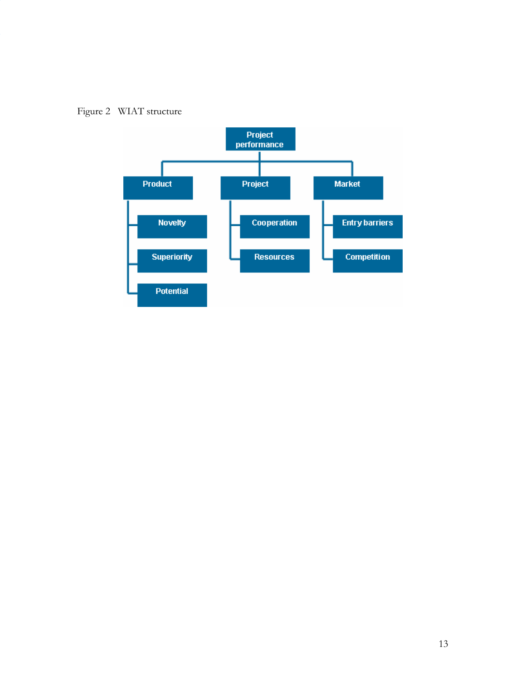

Figure 2 WIAT structure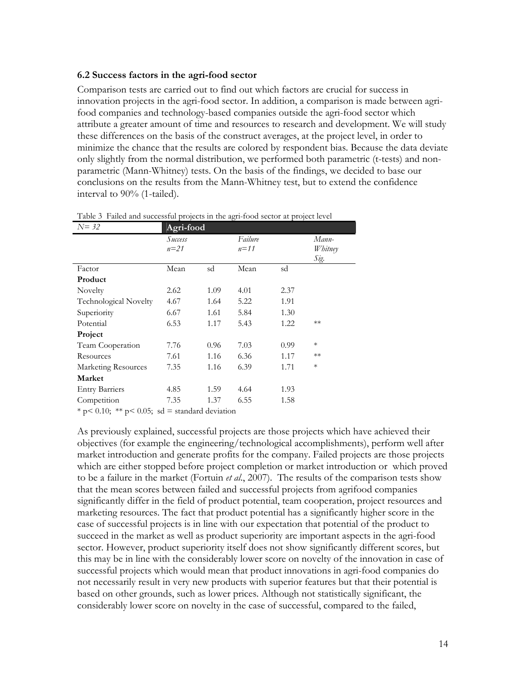#### 6.2 Success factors in the agri-food sector

Comparison tests are carried out to find out which factors are crucial for success in innovation projects in the agri-food sector. In addition, a comparison is made between agrifood companies and technology-based companies outside the agri-food sector which attribute a greater amount of time and resources to research and development. We will study these differences on the basis of the construct averages, at the project level, in order to minimize the chance that the results are colored by respondent bias. Because the data deviate only slightly from the normal distribution, we performed both parametric (t-tests) and nonparametric (Mann-Whitney) tests. On the basis of the findings, we decided to base our conclusions on the results from the Mann-Whitney test, but to extend the confidence interval to 90% (1-tailed).

| $N = 32$                                         | Agri-food |      |          |      |         |
|--------------------------------------------------|-----------|------|----------|------|---------|
|                                                  | Success   |      | Failure  |      | Mann-   |
|                                                  | $n=21$    |      | $n = 11$ |      | Whitney |
|                                                  |           |      |          |      | Sig.    |
| Factor                                           | Mean      | sd   | Mean     | sd   |         |
| Product                                          |           |      |          |      |         |
| Novelty                                          | 2.62      | 1.09 | 4.01     | 2.37 |         |
| Technological Novelty                            | 4.67      | 1.64 | 5.22     | 1.91 |         |
| Superiority                                      | 6.67      | 1.61 | 5.84     | 1.30 |         |
| Potential                                        | 6.53      | 1.17 | 5.43     | 1.22 | $**$    |
| Project                                          |           |      |          |      |         |
| Team Cooperation                                 | 7.76      | 0.96 | 7.03     | 0.99 | $\ast$  |
| Resources                                        | 7.61      | 1.16 | 6.36     | 1.17 | $**$    |
| Marketing Resources                              | 7.35      | 1.16 | 6.39     | 1.71 | $\ast$  |
| <b>Market</b>                                    |           |      |          |      |         |
| <b>Entry Barriers</b>                            | 4.85      | 1.59 | 4.64     | 1.93 |         |
| Competition                                      | 7.35      | 1.37 | 6.55     | 1.58 |         |
| * p < 0.10; ** p < 0.05; sd = standard deviation |           |      |          |      |         |

Table 3 Failed and successful projects in the agri-food sector at project level

As previously explained, successful projects are those projects which have achieved their objectives (for example the engineering/technological accomplishments), perform well after market introduction and generate profits for the company. Failed projects are those projects which are either stopped before project completion or market introduction or which proved to be a failure in the market (Fortuin *et al.*, 2007). The results of the comparison tests show that the mean scores between failed and successful projects from agrifood companies significantly differ in the field of product potential, team cooperation, project resources and marketing resources. The fact that product potential has a significantly higher score in the case of successful projects is in line with our expectation that potential of the product to succeed in the market as well as product superiority are important aspects in the agri-food sector. However, product superiority itself does not show significantly different scores, but this may be in line with the considerably lower score on novelty of the innovation in case of successful projects which would mean that product innovations in agri-food companies do not necessarily result in very new products with superior features but that their potential is based on other grounds, such as lower prices. Although not statistically significant, the considerably lower score on novelty in the case of successful, compared to the failed,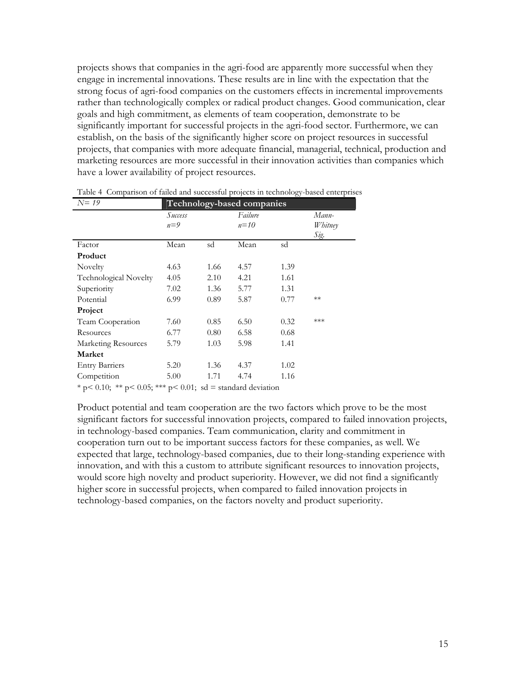projects shows that companies in the agri-food are apparently more successful when they engage in incremental innovations. These results are in line with the expectation that the strong focus of agri-food companies on the customers effects in incremental improvements rather than technologically complex or radical product changes. Good communication, clear goals and high commitment, as elements of team cooperation, demonstrate to be significantly important for successful projects in the agri-food sector. Furthermore, we can establish, on the basis of the significantly higher score on project resources in successful projects, that companies with more adequate financial, managerial, technical, production and marketing resources are more successful in their innovation activities than companies which have a lower availability of project resources.

| $N=19$                                                         | Technology-based companies |      |                     |      |                          |  |
|----------------------------------------------------------------|----------------------------|------|---------------------|------|--------------------------|--|
|                                                                | Success<br>$n=9$           |      | Failure<br>$n = 10$ |      | Mann-<br>Whitney<br>Sig. |  |
| Factor                                                         | Mean                       | sd   | Mean                | sd   |                          |  |
| Product                                                        |                            |      |                     |      |                          |  |
| Novelty                                                        | 4.63                       | 1.66 | 4.57                | 1.39 |                          |  |
| Technological Novelty                                          | 4.05                       | 2.10 | 4.21                | 1.61 |                          |  |
| Superiority                                                    | 7.02                       | 1.36 | 5.77                | 1.31 |                          |  |
| Potential                                                      | 6.99                       | 0.89 | 5.87                | 0.77 | $**$                     |  |
| Project                                                        |                            |      |                     |      |                          |  |
| Team Cooperation                                               | 7.60                       | 0.85 | 6.50                | 0.32 | ***                      |  |
| Resources                                                      | 6.77                       | 0.80 | 6.58                | 0.68 |                          |  |
| Marketing Resources                                            | 5.79                       | 1.03 | 5.98                | 1.41 |                          |  |
| <b>Market</b>                                                  |                            |      |                     |      |                          |  |
| <b>Entry Barriers</b>                                          | 5.20                       | 1.36 | 4.37                | 1.02 |                          |  |
| Competition                                                    | 5.00                       | 1.71 | 4.74                | 1.16 |                          |  |
| * p < 0.10; ** p < 0.05; *** p < 0.01; sd = standard deviation |                            |      |                     |      |                          |  |

Table 4 Comparison of failed and successful projects in technology-based enterprises

Product potential and team cooperation are the two factors which prove to be the most significant factors for successful innovation projects, compared to failed innovation projects, in technology-based companies. Team communication, clarity and commitment in cooperation turn out to be important success factors for these companies, as well. We expected that large, technology-based companies, due to their long-standing experience with innovation, and with this a custom to attribute significant resources to innovation projects, would score high novelty and product superiority. However, we did not find a significantly higher score in successful projects, when compared to failed innovation projects in technology-based companies, on the factors novelty and product superiority.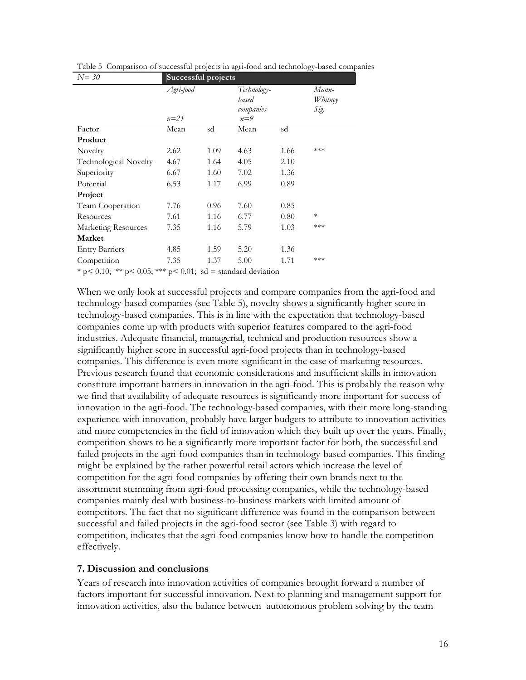| $N=30$                                                         | Successful projects |      |                                            |      |                          |  |
|----------------------------------------------------------------|---------------------|------|--------------------------------------------|------|--------------------------|--|
|                                                                | Agri-food<br>$n=21$ |      | Technology-<br>based<br>companies<br>$n=9$ |      | Mann-<br>Whitney<br>Sig. |  |
| Factor                                                         | Mean                | sd   | Mean                                       | sd   |                          |  |
| Product                                                        |                     |      |                                            |      |                          |  |
| Novelty                                                        | 2.62                | 1.09 | 4.63                                       | 1.66 | ***                      |  |
| Technological Novelty                                          | 4.67                | 1.64 | 4.05                                       | 2.10 |                          |  |
| Superiority                                                    | 6.67                | 1.60 | 7.02                                       | 1.36 |                          |  |
| Potential                                                      | 6.53                | 1.17 | 6.99                                       | 0.89 |                          |  |
| Project                                                        |                     |      |                                            |      |                          |  |
| Team Cooperation                                               | 7.76                | 0.96 | 7.60                                       | 0.85 |                          |  |
| Resources                                                      | 7.61                | 1.16 | 6.77                                       | 0.80 | $\ast$                   |  |
| Marketing Resources                                            | 7.35                | 1.16 | 5.79                                       | 1.03 | ***                      |  |
| <b>Market</b>                                                  |                     |      |                                            |      |                          |  |
| <b>Entry Barriers</b>                                          | 4.85                | 1.59 | 5.20                                       | 1.36 |                          |  |
| Competition                                                    | 7.35                | 1.37 | 5.00                                       | 1.71 | ***                      |  |
| * p < 0.10; ** p < 0.05; *** p < 0.01; sd = standard deviation |                     |      |                                            |      |                          |  |

Table 5 Comparison of successful projects in agri-food and technology-based companies

When we only look at successful projects and compare companies from the agri-food and technology-based companies (see Table 5), novelty shows a significantly higher score in technology-based companies. This is in line with the expectation that technology-based companies come up with products with superior features compared to the agri-food industries. Adequate financial, managerial, technical and production resources show a significantly higher score in successful agri-food projects than in technology-based companies. This difference is even more significant in the case of marketing resources. Previous research found that economic considerations and insufficient skills in innovation constitute important barriers in innovation in the agri-food. This is probably the reason why we find that availability of adequate resources is significantly more important for success of innovation in the agri-food. The technology-based companies, with their more long-standing experience with innovation, probably have larger budgets to attribute to innovation activities and more competencies in the field of innovation which they built up over the years. Finally, competition shows to be a significantly more important factor for both, the successful and failed projects in the agri-food companies than in technology-based companies. This finding might be explained by the rather powerful retail actors which increase the level of competition for the agri-food companies by offering their own brands next to the assortment stemming from agri-food processing companies, while the technology-based companies mainly deal with business-to-business markets with limited amount of competitors. The fact that no significant difference was found in the comparison between successful and failed projects in the agri-food sector (see Table 3) with regard to competition, indicates that the agri-food companies know how to handle the competition effectively.

#### 7. Discussion and conclusions

Years of research into innovation activities of companies brought forward a number of factors important for successful innovation. Next to planning and management support for innovation activities, also the balance between autonomous problem solving by the team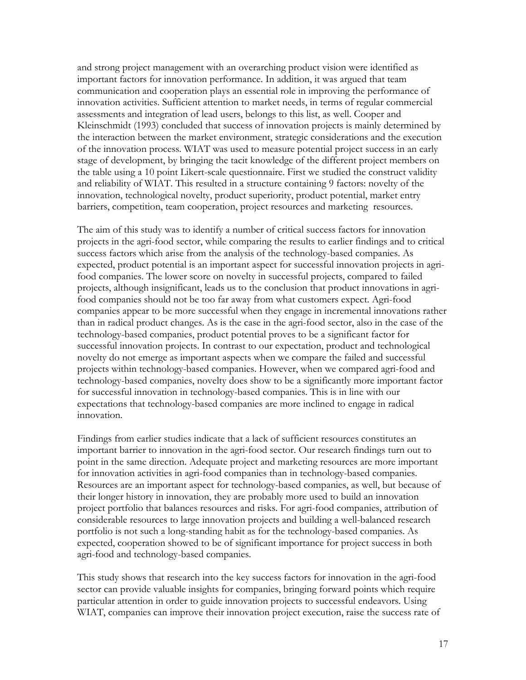and strong project management with an overarching product vision were identified as important factors for innovation performance. In addition, it was argued that team communication and cooperation plays an essential role in improving the performance of innovation activities. Sufficient attention to market needs, in terms of regular commercial assessments and integration of lead users, belongs to this list, as well. Cooper and Kleinschmidt (1993) concluded that success of innovation projects is mainly determined by the interaction between the market environment, strategic considerations and the execution of the innovation process. WIAT was used to measure potential project success in an early stage of development, by bringing the tacit knowledge of the different project members on the table using a 10 point Likert-scale questionnaire. First we studied the construct validity and reliability of WIAT. This resulted in a structure containing 9 factors: novelty of the innovation, technological novelty, product superiority, product potential, market entry barriers, competition, team cooperation, project resources and marketing resources.

The aim of this study was to identify a number of critical success factors for innovation projects in the agri-food sector, while comparing the results to earlier findings and to critical success factors which arise from the analysis of the technology-based companies. As expected, product potential is an important aspect for successful innovation projects in agrifood companies. The lower score on novelty in successful projects, compared to failed projects, although insignificant, leads us to the conclusion that product innovations in agrifood companies should not be too far away from what customers expect. Agri-food companies appear to be more successful when they engage in incremental innovations rather than in radical product changes. As is the case in the agri-food sector, also in the case of the technology-based companies, product potential proves to be a significant factor for successful innovation projects. In contrast to our expectation, product and technological novelty do not emerge as important aspects when we compare the failed and successful projects within technology-based companies. However, when we compared agri-food and technology-based companies, novelty does show to be a significantly more important factor for successful innovation in technology-based companies. This is in line with our expectations that technology-based companies are more inclined to engage in radical innovation.

Findings from earlier studies indicate that a lack of sufficient resources constitutes an important barrier to innovation in the agri-food sector. Our research findings turn out to point in the same direction. Adequate project and marketing resources are more important for innovation activities in agri-food companies than in technology-based companies. Resources are an important aspect for technology-based companies, as well, but because of their longer history in innovation, they are probably more used to build an innovation project portfolio that balances resources and risks. For agri-food companies, attribution of considerable resources to large innovation projects and building a well-balanced research portfolio is not such a long-standing habit as for the technology-based companies. As expected, cooperation showed to be of significant importance for project success in both agri-food and technology-based companies.

This study shows that research into the key success factors for innovation in the agri-food sector can provide valuable insights for companies, bringing forward points which require particular attention in order to guide innovation projects to successful endeavors. Using WIAT, companies can improve their innovation project execution, raise the success rate of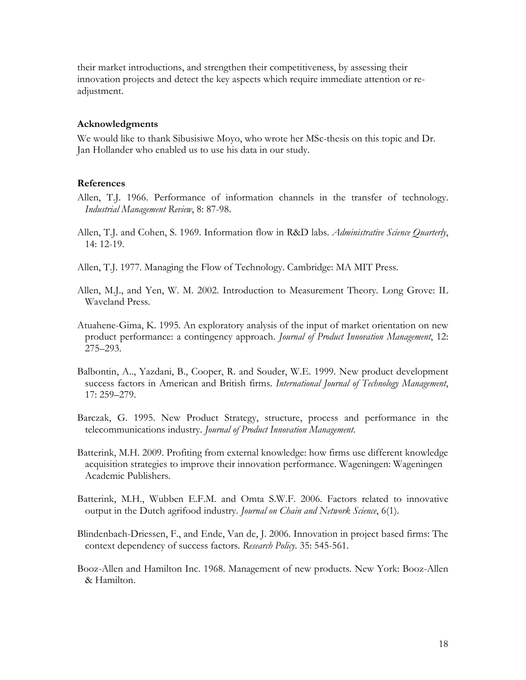their market introductions, and strengthen their competitiveness, by assessing their innovation projects and detect the key aspects which require immediate attention or readjustment.

#### Acknowledgments

We would like to thank Sibusisiwe Moyo, who wrote her MSc-thesis on this topic and Dr. Jan Hollander who enabled us to use his data in our study.

#### References

- Allen, T.J. 1966. Performance of information channels in the transfer of technology. Industrial Management Review, 8: 87-98.
- Allen, T.J. and Cohen, S. 1969. Information flow in R&D labs. Administrative Science Quarterly, 14: 12-19.
- Allen, T.J. 1977. Managing the Flow of Technology. Cambridge: MA MIT Press.
- Allen, M.J., and Yen, W. M. 2002. Introduction to Measurement Theory. Long Grove: IL Waveland Press.
- Atuahene-Gima, K. 1995. An exploratory analysis of the input of market orientation on new product performance: a contingency approach. Journal of Product Innovation Management, 12: 275–293.
- Balbontin, A.., Yazdani, B., Cooper, R. and Souder, W.E. 1999. New product development success factors in American and British firms. International Journal of Technology Management, 17: 259–279.
- Barczak, G. 1995. New Product Strategy, structure, process and performance in the telecommunications industry. Journal of Product Innovation Management.
- Batterink, M.H. 2009. Profiting from external knowledge: how firms use different knowledge acquisition strategies to improve their innovation performance. Wageningen: Wageningen Academic Publishers.
- Batterink, M.H., Wubben E.F.M. and Omta S.W.F. 2006. Factors related to innovative output in the Dutch agrifood industry. Journal on Chain and Network Science, 6(1).
- Blindenbach-Driessen, F., and Ende, Van de, J. 2006. Innovation in project based firms: The context dependency of success factors. Research Policy. 35: 545-561.
- Booz-Allen and Hamilton Inc. 1968. Management of new products. New York: Booz-Allen & Hamilton.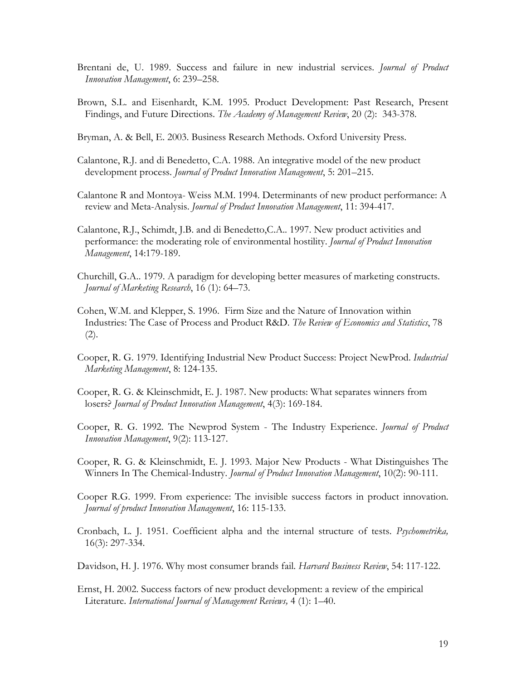- Brentani de, U. 1989. Success and failure in new industrial services. Journal of Product Innovation Management, 6: 239–258.
- Brown, S.L. and Eisenhardt, K.M. 1995. Product Development: Past Research, Present Findings, and Future Directions. The Academy of Management Review, 20 (2): 343-378.
- Bryman, A. & Bell, E. 2003. Business Research Methods. Oxford University Press.
- Calantone, R.J. and di Benedetto, C.A. 1988. An integrative model of the new product development process. Journal of Product Innovation Management, 5: 201-215.
- Calantone R and Montoya- Weiss M.M. 1994. Determinants of new product performance: A review and Meta-Analysis. Journal of Product Innovation Management, 11: 394-417.
- Calantone, R.J., Schimdt, J.B. and di Benedetto,C.A.. 1997. New product activities and performance: the moderating role of environmental hostility. Journal of Product Innovation Management, 14:179-189.
- Churchill, G.A.. 1979. A paradigm for developing better measures of marketing constructs. Journal of Marketing Research, 16 (1): 64–73.
- Cohen, W.M. and Klepper, S. 1996. Firm Size and the Nature of Innovation within Industries: The Case of Process and Product R&D. The Review of Economics and Statistics, 78 (2).
- Cooper, R. G. 1979. Identifying Industrial New Product Success: Project NewProd. Industrial Marketing Management, 8: 124-135.
- Cooper, R. G. & Kleinschmidt, E. J. 1987. New products: What separates winners from losers? Journal of Product Innovation Management, 4(3): 169-184.
- Cooper, R. G. 1992. The Newprod System The Industry Experience. *Journal of Product* Innovation Management, 9(2): 113-127.
- Cooper, R. G. & Kleinschmidt, E. J. 1993. Major New Products What Distinguishes The Winners In The Chemical-Industry. Journal of Product Innovation Management, 10(2): 90-111.
- Cooper R.G. 1999. From experience: The invisible success factors in product innovation. Journal of product Innovation Management, 16: 115-133.
- Cronbach, L. J. 1951. Coefficient alpha and the internal structure of tests. *Psychometrika*, 16(3): 297-334.
- Davidson, H. J. 1976. Why most consumer brands fail. Harvard Business Review, 54: 117-122.
- Ernst, H. 2002. Success factors of new product development: a review of the empirical Literature. International Journal of Management Reviews, 4 (1): 1–40.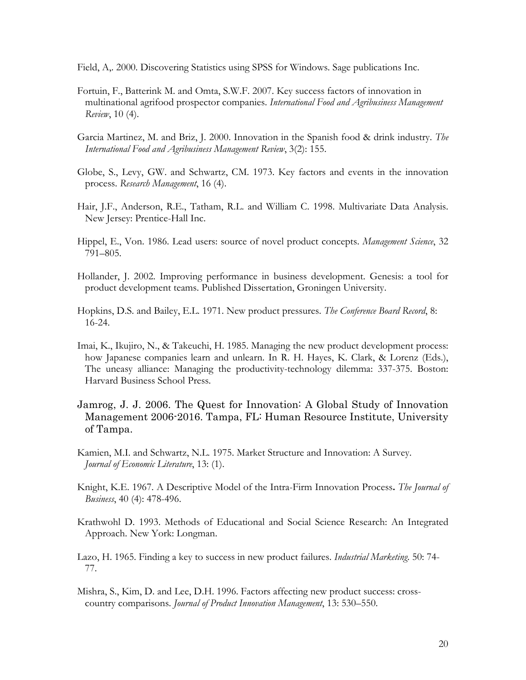Field, A,. 2000. Discovering Statistics using SPSS for Windows. Sage publications Inc.

- Fortuin, F., Batterink M. and Omta, S.W.F. 2007. Key success factors of innovation in multinational agrifood prospector companies. International Food and Agribusiness Management Review, 10 (4).
- Garcia Martinez, M. and Briz, J. 2000. Innovation in the Spanish food & drink industry. The International Food and Agribusiness Management Review, 3(2): 155.
- Globe, S., Levy, GW. and Schwartz, CM. 1973. Key factors and events in the innovation process. Research Management, 16 (4).
- Hair, J.F., Anderson, R.E., Tatham, R.L. and William C. 1998. Multivariate Data Analysis. New Jersey: Prentice-Hall Inc.
- Hippel, E., Von. 1986. Lead users: source of novel product concepts. Management Science, 32 791–805.
- Hollander, J. 2002. Improving performance in business development. Genesis: a tool for product development teams. Published Dissertation, Groningen University.
- Hopkins, D.S. and Bailey, E.L. 1971. New product pressures. The Conference Board Record, 8: 16-24.
- Imai, K., Ikujiro, N., & Takeuchi, H. 1985. Managing the new product development process: how Japanese companies learn and unlearn. In R. H. Hayes, K. Clark, & Lorenz (Eds.), The uneasy alliance: Managing the productivity-technology dilemma: 337-375. Boston: Harvard Business School Press.
- Jamrog, J. J. 2006. The Quest for Innovation: A Global Study of Innovation Management 2006-2016. Tampa, FL: Human Resource Institute, University of Tampa.
- Kamien, M.I. and Schwartz, N.L. 1975. Market Structure and Innovation: A Survey. Journal of Economic Literature, 13: (1).
- Knight, K.E. 1967. A Descriptive Model of the Intra-Firm Innovation Process. The Journal of Business, 40 (4): 478-496.
- Krathwohl D. 1993. Methods of Educational and Social Science Research: An Integrated Approach. New York: Longman.
- Lazo, H. 1965. Finding a key to success in new product failures. *Industrial Marketing*. 50:74-77.
- Mishra, S., Kim, D. and Lee, D.H. 1996. Factors affecting new product success: crosscountry comparisons. Journal of Product Innovation Management, 13: 530–550.